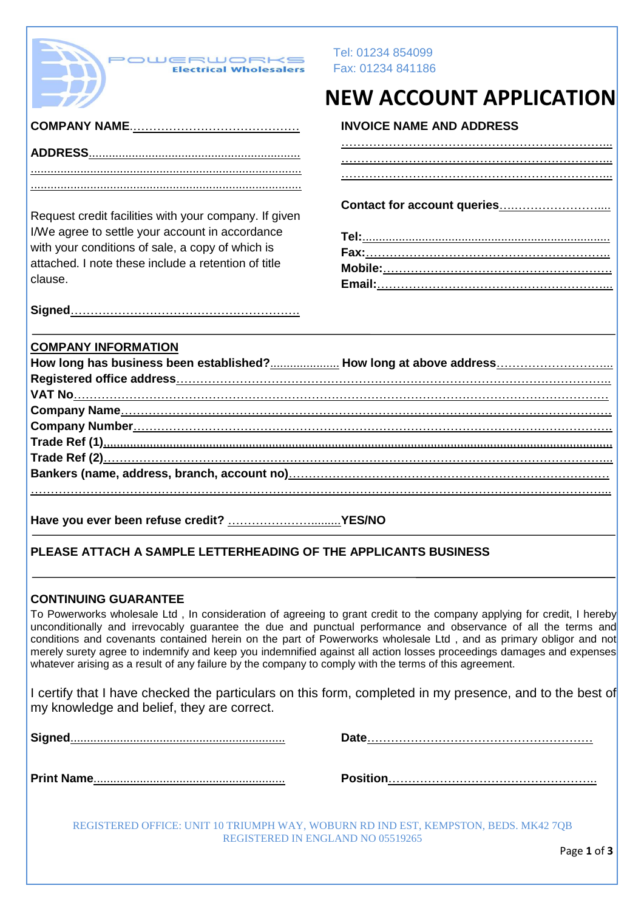| <b>POWERWORK</b>                                                                                                                                                                                                    | Tel: 01234 854099<br>Fax: 01234 841186                                                                                                                                                                                                                                                                                                                                                                                                                                                |
|---------------------------------------------------------------------------------------------------------------------------------------------------------------------------------------------------------------------|---------------------------------------------------------------------------------------------------------------------------------------------------------------------------------------------------------------------------------------------------------------------------------------------------------------------------------------------------------------------------------------------------------------------------------------------------------------------------------------|
|                                                                                                                                                                                                                     | <b>NEW ACCOUNT APPLICATION</b>                                                                                                                                                                                                                                                                                                                                                                                                                                                        |
|                                                                                                                                                                                                                     | <b>INVOICE NAME AND ADDRESS</b>                                                                                                                                                                                                                                                                                                                                                                                                                                                       |
|                                                                                                                                                                                                                     |                                                                                                                                                                                                                                                                                                                                                                                                                                                                                       |
|                                                                                                                                                                                                                     |                                                                                                                                                                                                                                                                                                                                                                                                                                                                                       |
| Request credit facilities with your company. If given<br>I/We agree to settle your account in accordance<br>with your conditions of sale, a copy of which is<br>attached. I note these include a retention of title |                                                                                                                                                                                                                                                                                                                                                                                                                                                                                       |
| clause.                                                                                                                                                                                                             |                                                                                                                                                                                                                                                                                                                                                                                                                                                                                       |
| <b>COMPANY INFORMATION</b>                                                                                                                                                                                          | How long has business been established? How long at above address                                                                                                                                                                                                                                                                                                                                                                                                                     |
|                                                                                                                                                                                                                     |                                                                                                                                                                                                                                                                                                                                                                                                                                                                                       |
|                                                                                                                                                                                                                     |                                                                                                                                                                                                                                                                                                                                                                                                                                                                                       |
|                                                                                                                                                                                                                     |                                                                                                                                                                                                                                                                                                                                                                                                                                                                                       |
|                                                                                                                                                                                                                     |                                                                                                                                                                                                                                                                                                                                                                                                                                                                                       |
|                                                                                                                                                                                                                     |                                                                                                                                                                                                                                                                                                                                                                                                                                                                                       |
| PLEASE ATTACH A SAMPLE LETTERHEADING OF THE APPLICANTS BUSINESS                                                                                                                                                     |                                                                                                                                                                                                                                                                                                                                                                                                                                                                                       |
| <b>CONTINUING GUARANTEE</b><br>whatever arising as a result of any failure by the company to comply with the terms of this agreement.                                                                               | To Powerworks wholesale Ltd, In consideration of agreeing to grant credit to the company applying for credit, I hereby<br>unconditionally and irrevocably guarantee the due and punctual performance and observance of all the terms and<br>conditions and covenants contained herein on the part of Powerworks wholesale Ltd, and as primary obligor and not<br>merely surety agree to indemnify and keep you indemnified against all action losses proceedings damages and expenses |
| my knowledge and belief, they are correct.                                                                                                                                                                          | I certify that I have checked the particulars on this form, completed in my presence, and to the best of                                                                                                                                                                                                                                                                                                                                                                              |
|                                                                                                                                                                                                                     |                                                                                                                                                                                                                                                                                                                                                                                                                                                                                       |
|                                                                                                                                                                                                                     |                                                                                                                                                                                                                                                                                                                                                                                                                                                                                       |
|                                                                                                                                                                                                                     |                                                                                                                                                                                                                                                                                                                                                                                                                                                                                       |

REGISTERED OFFICE: UNIT 10 TRIUMPH WAY, WOBURN RD IND EST, KEMPSTON, BEDS. MK42 7QB REGISTERED IN ENGLAND NO 05519265

Page **1** of **3**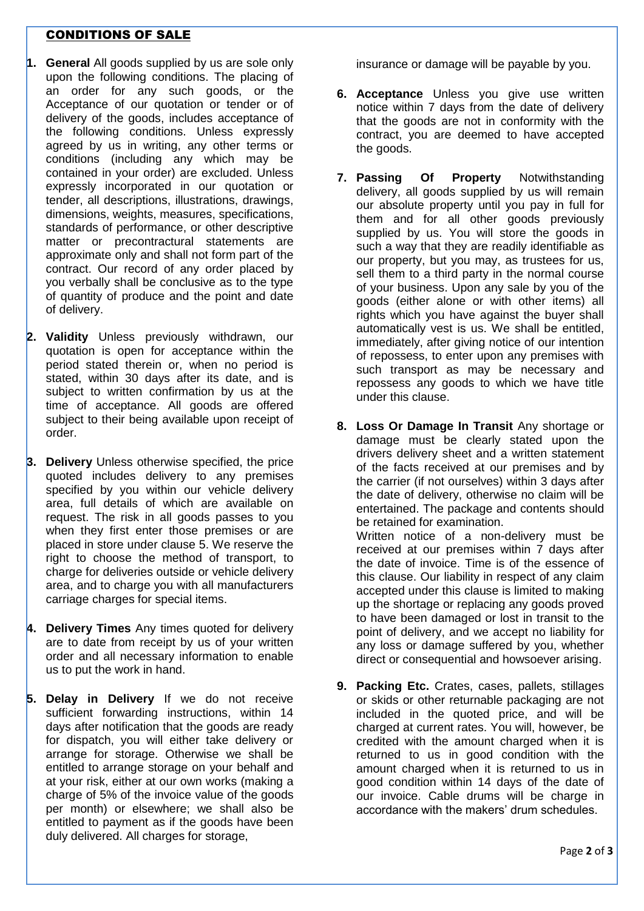## CONDITIONS OF SALE

- **1. General** All goods supplied by us are sole only upon the following conditions. The placing of an order for any such goods, or the Acceptance of our quotation or tender or of delivery of the goods, includes acceptance of the following conditions. Unless expressly agreed by us in writing, any other terms or conditions (including any which may be contained in your order) are excluded. Unless expressly incorporated in our quotation or tender, all descriptions, illustrations, drawings, dimensions, weights, measures, specifications, standards of performance, or other descriptive matter or precontractural statements are approximate only and shall not form part of the contract. Our record of any order placed by you verbally shall be conclusive as to the type of quantity of produce and the point and date of delivery.
- **2. Validity** Unless previously withdrawn, our quotation is open for acceptance within the period stated therein or, when no period is stated, within 30 days after its date, and is subject to written confirmation by us at the time of acceptance. All goods are offered subject to their being available upon receipt of order.
- **3. Delivery** Unless otherwise specified, the price quoted includes delivery to any premises specified by you within our vehicle delivery area, full details of which are available on request. The risk in all goods passes to you when they first enter those premises or are placed in store under clause 5. We reserve the right to choose the method of transport, to charge for deliveries outside or vehicle delivery area, and to charge you with all manufacturers carriage charges for special items.
- **4. Delivery Times** Any times quoted for delivery are to date from receipt by us of your written order and all necessary information to enable us to put the work in hand.
- **5. Delay in Delivery** If we do not receive sufficient forwarding instructions, within 14 days after notification that the goods are ready for dispatch, you will either take delivery or arrange for storage. Otherwise we shall be entitled to arrange storage on your behalf and at your risk, either at our own works (making a charge of 5% of the invoice value of the goods per month) or elsewhere; we shall also be entitled to payment as if the goods have been duly delivered. All charges for storage,

insurance or damage will be payable by you.

- **6. Acceptance** Unless you give use written notice within 7 days from the date of delivery that the goods are not in conformity with the contract, you are deemed to have accepted the goods.
- **7. Passing Of Property** Notwithstanding delivery, all goods supplied by us will remain our absolute property until you pay in full for them and for all other goods previously supplied by us. You will store the goods in such a way that they are readily identifiable as our property, but you may, as trustees for us, sell them to a third party in the normal course of your business. Upon any sale by you of the goods (either alone or with other items) all rights which you have against the buyer shall automatically vest is us. We shall be entitled, immediately, after giving notice of our intention of repossess, to enter upon any premises with such transport as may be necessary and repossess any goods to which we have title under this clause.
- **8. Loss Or Damage In Transit** Any shortage or damage must be clearly stated upon the drivers delivery sheet and a written statement of the facts received at our premises and by the carrier (if not ourselves) within 3 days after the date of delivery, otherwise no claim will be entertained. The package and contents should be retained for examination.

Written notice of a non-delivery must be received at our premises within 7 days after the date of invoice. Time is of the essence of this clause. Our liability in respect of any claim accepted under this clause is limited to making up the shortage or replacing any goods proved to have been damaged or lost in transit to the point of delivery, and we accept no liability for any loss or damage suffered by you, whether direct or consequential and howsoever arising.

**9. Packing Etc.** Crates, cases, pallets, stillages or skids or other returnable packaging are not included in the quoted price, and will be charged at current rates. You will, however, be credited with the amount charged when it is returned to us in good condition with the amount charged when it is returned to us in good condition within 14 days of the date of our invoice. Cable drums will be charge in accordance with the makers' drum schedules.